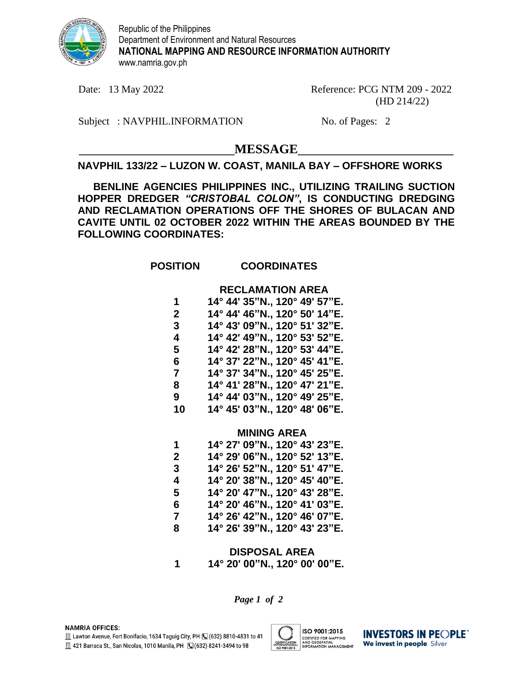

Republic of the Philippines Department of Environment and Natural Resources **NATIONAL MAPPING AND RESOURCE INFORMATION AUTHORITY** www.namria.gov.ph

Date: 13 May 2022 Reference: PCG NTM 209 - 2022 (HD 214/22)

Subject : NAVPHIL.INFORMATION No. of Pages: 2

 $MESSAGE$ 

# **NAVPHIL 133/22 – LUZON W. COAST, MANILA BAY – OFFSHORE WORKS**

**BENLINE AGENCIES PHILIPPINES INC., UTILIZING TRAILING SUCTION HOPPER DREDGER** *"CRISTOBAL COLON"***, IS CONDUCTING DREDGING AND RECLAMATION OPERATIONS OFF THE SHORES OF BULACAN AND CAVITE UNTIL 02 OCTOBER 2022 WITHIN THE AREAS BOUNDED BY THE FOLLOWING COORDINATES:**

# **POSITION COORDINATES**

## **RECLAMATION AREA**

| 1  | 14° 44' 35"N., 120° 49' 57"E. |
|----|-------------------------------|
| 2  | 14° 44' 46"N., 120° 50' 14"E. |
| 3  | 14° 43' 09"N., 120° 51' 32"E. |
| 4  | 14° 42' 49"N., 120° 53' 52"E. |
| 5  | 14° 42' 28"N., 120° 53' 44"E. |
| 6  | 14° 37' 22"N., 120° 45' 41"E. |
| 7  | 14° 37' 34"N., 120° 45' 25"E. |
| 8  | 14° 41' 28"N., 120° 47' 21"E. |
| 9  | 14° 44' 03"N., 120° 49' 25"E. |
| 10 | 14° 45' 03"N., 120° 48' 06"E. |
|    |                               |

### **MINING AREA**

| 1 | 14° 27' 09"N., 120° 43' 23"E. |
|---|-------------------------------|
| 2 | 14° 29' 06"N., 120° 52' 13"E. |
| 3 | 14° 26' 52"N., 120° 51' 47"E. |
| 4 | 14° 20' 38"N., 120° 45' 40"E. |
| 5 | 14° 20' 47"N., 120° 43' 28"E. |
| 6 | 14° 20' 46"N., 120° 41' 03"E. |
| 7 | 14° 26' 42"N., 120° 46' 07"E. |
| 8 | 14° 26' 39"N., 120° 43' 23"E. |

**DISPOSAL AREA 1 14° 20' 00"N., 120° 00' 00"E.**

*Page 1 of 2*



**INVESTORS IN PEOPLE** We invest in people Silver